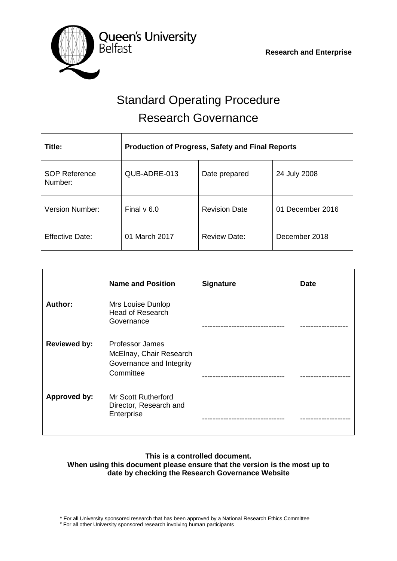

# Standard Operating Procedure Research Governance

| Title:                          | <b>Production of Progress, Safety and Final Reports</b> |                      |                  |
|---------------------------------|---------------------------------------------------------|----------------------|------------------|
| <b>SOP Reference</b><br>Number: | QUB-ADRE-013                                            | Date prepared        | 24 July 2008     |
| <b>Version Number:</b>          | Final $v$ 6.0                                           | <b>Revision Date</b> | 01 December 2016 |
| <b>Effective Date:</b>          | 01 March 2017                                           | <b>Review Date:</b>  | December 2018    |

|                     | <b>Name and Position</b>                                                                   | <b>Signature</b> | <b>Date</b> |
|---------------------|--------------------------------------------------------------------------------------------|------------------|-------------|
| Author:             | Mrs Louise Dunlop<br><b>Head of Research</b><br>Governance                                 |                  |             |
| <b>Reviewed by:</b> | <b>Professor James</b><br>McElnay, Chair Research<br>Governance and Integrity<br>Committee |                  |             |
| <b>Approved by:</b> | <b>Mr Scott Rutherford</b><br>Director, Research and<br>Enterprise                         |                  |             |

#### **This is a controlled document. When using this document please ensure that the version is the most up to date by checking the Research Governance Website**

\* For all University sponsored research that has been approved by a National Research Ethics Committee

# For all other University sponsored research involving human participants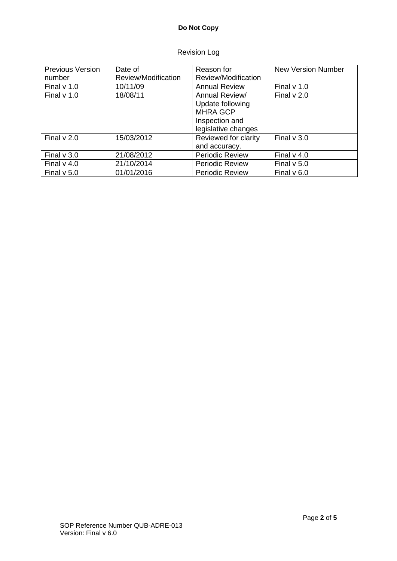## **Do Not Copy**

### Revision Log

| <b>Previous Version</b> | Date of             | Reason for                                                                                     | <b>New Version Number</b> |
|-------------------------|---------------------|------------------------------------------------------------------------------------------------|---------------------------|
| number                  | Review/Modification | Review/Modification                                                                            |                           |
| Final $v$ 1.0           | 10/11/09            | <b>Annual Review</b>                                                                           | Final $v$ 1.0             |
| Final $v$ 1.0           | 18/08/11            | Annual Review/<br>Update following<br><b>MHRA GCP</b><br>Inspection and<br>legislative changes | Final $v$ 2.0             |
| Final $v$ 2.0           | 15/03/2012          | Reviewed for clarity<br>and accuracy.                                                          | Final $v$ 3.0             |
| Final $v$ 3.0           | 21/08/2012          | <b>Periodic Review</b>                                                                         | Final $v$ 4.0             |
| Final $v$ 4.0           | 21/10/2014          | <b>Periodic Review</b>                                                                         | Final $v$ 5.0             |
| Final $v$ 5.0           | 01/01/2016          | <b>Periodic Review</b>                                                                         | Final $v$ 6.0             |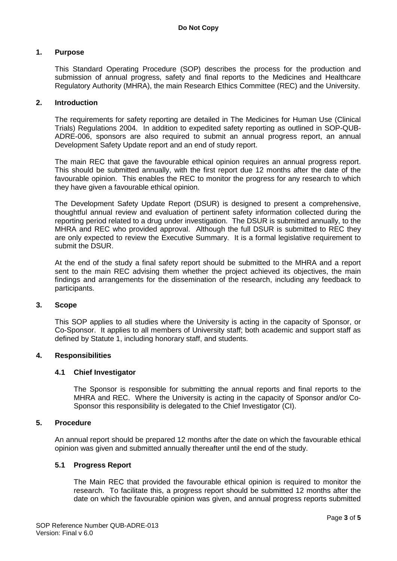#### **1. Purpose**

This Standard Operating Procedure (SOP) describes the process for the production and submission of annual progress, safety and final reports to the Medicines and Healthcare Regulatory Authority (MHRA), the main Research Ethics Committee (REC) and the University.

#### **2. Introduction**

The requirements for safety reporting are detailed in The Medicines for Human Use (Clinical Trials) Regulations 2004. In addition to expedited safety reporting as outlined in SOP-QUB-ADRE-006, sponsors are also required to submit an annual progress report, an annual Development Safety Update report and an end of study report.

The main REC that gave the favourable ethical opinion requires an annual progress report. This should be submitted annually, with the first report due 12 months after the date of the favourable opinion. This enables the REC to monitor the progress for any research to which they have given a favourable ethical opinion.

The Development Safety Update Report (DSUR) is designed to present a comprehensive, thoughtful annual review and evaluation of pertinent safety information collected during the reporting period related to a drug under investigation. The DSUR is submitted annually, to the MHRA and REC who provided approval. Although the full DSUR is submitted to REC they are only expected to review the Executive Summary. It is a formal legislative requirement to submit the DSUR.

At the end of the study a final safety report should be submitted to the MHRA and a report sent to the main REC advising them whether the project achieved its objectives, the main findings and arrangements for the dissemination of the research, including any feedback to participants.

#### **3. Scope**

This SOP applies to all studies where the University is acting in the capacity of Sponsor, or Co-Sponsor. It applies to all members of University staff; both academic and support staff as defined by Statute 1, including honorary staff, and students.

#### **4. Responsibilities**

#### **4.1 Chief Investigator**

The Sponsor is responsible for submitting the annual reports and final reports to the MHRA and REC. Where the University is acting in the capacity of Sponsor and/or Co-Sponsor this responsibility is delegated to the Chief Investigator (CI).

#### **5. Procedure**

An annual report should be prepared 12 months after the date on which the favourable ethical opinion was given and submitted annually thereafter until the end of the study.

#### **5.1 Progress Report**

The Main REC that provided the favourable ethical opinion is required to monitor the research. To facilitate this, a progress report should be submitted 12 months after the date on which the favourable opinion was given, and annual progress reports submitted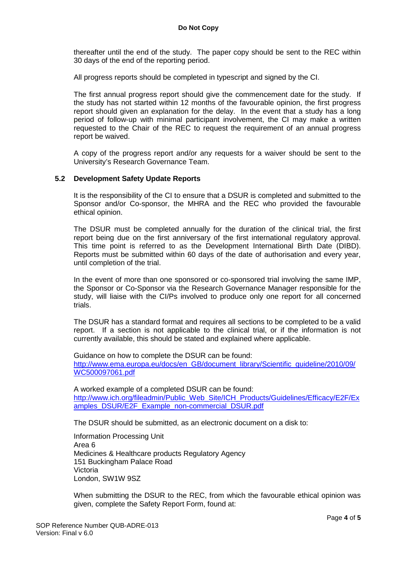thereafter until the end of the study. The paper copy should be sent to the REC within 30 days of the end of the reporting period.

All progress reports should be completed in typescript and signed by the CI.

The first annual progress report should give the commencement date for the study. If the study has not started within 12 months of the favourable opinion, the first progress report should given an explanation for the delay. In the event that a study has a long period of follow-up with minimal participant involvement, the CI may make a written requested to the Chair of the REC to request the requirement of an annual progress report be waived.

A copy of the progress report and/or any requests for a waiver should be sent to the University's Research Governance Team.

#### **5.2 Development Safety Update Reports**

It is the responsibility of the CI to ensure that a DSUR is completed and submitted to the Sponsor and/or Co-sponsor, the MHRA and the REC who provided the favourable ethical opinion.

The DSUR must be completed annually for the duration of the clinical trial, the first report being due on the first anniversary of the first international regulatory approval. This time point is referred to as the Development International Birth Date (DIBD). Reports must be submitted within 60 days of the date of authorisation and every year, until completion of the trial.

In the event of more than one sponsored or co-sponsored trial involving the same IMP, the Sponsor or Co-Sponsor via the Research Governance Manager responsible for the study, will liaise with the CI/Ps involved to produce only one report for all concerned trials.

The DSUR has a standard format and requires all sections to be completed to be a valid report. If a section is not applicable to the clinical trial, or if the information is not currently available, this should be stated and explained where applicable.

Guidance on how to complete the DSUR can be found: [http://www.ema.europa.eu/docs/en\\_GB/document\\_library/Scientific\\_guideline/2010/09/](http://www.ema.europa.eu/docs/en_GB/document_library/Scientific_guideline/2010/09/WC500097061.pdf) [WC500097061.pdf](http://www.ema.europa.eu/docs/en_GB/document_library/Scientific_guideline/2010/09/WC500097061.pdf)

A worked example of a completed DSUR can be found: [http://www.ich.org/fileadmin/Public\\_Web\\_Site/ICH\\_Products/Guidelines/Efficacy/E2F/Ex](http://www.ich.org/fileadmin/Public_Web_Site/ICH_Products/Guidelines/Efficacy/E2F/Examples_DSUR/E2F_Example_non-commercial_DSUR.pdf) [amples\\_DSUR/E2F\\_Example\\_non-commercial\\_DSUR.pdf](http://www.ich.org/fileadmin/Public_Web_Site/ICH_Products/Guidelines/Efficacy/E2F/Examples_DSUR/E2F_Example_non-commercial_DSUR.pdf)

The DSUR should be submitted, as an electronic document on a disk to:

Information Processing Unit Area 6 Medicines & Healthcare products Regulatory Agency 151 Buckingham Palace Road Victoria London, SW1W 9SZ

When submitting the DSUR to the REC, from which the favourable ethical opinion was given, complete the Safety Report Form, found at: